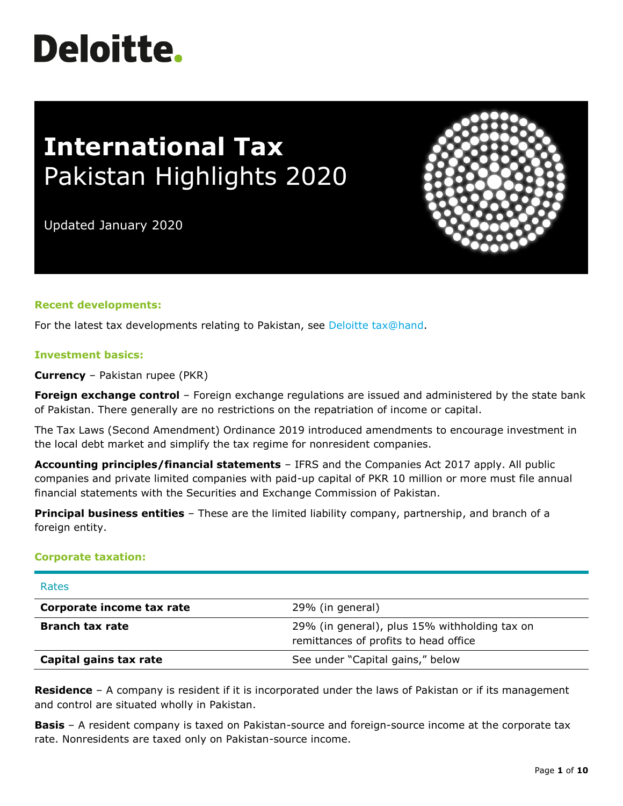# **Deloitte.**

## **International Tax** Pakistan Highlights 2020

Updated January 2020

#### **Recent developments:**

For the latest tax developments relating to Pakistan, see [Deloitte tax@hand.](https://www.taxathand.com/world-news/Pakistan)

#### **Investment basics:**

**Currency** – Pakistan rupee (PKR)

**Foreign exchange control** – Foreign exchange regulations are issued and administered by the state bank of Pakistan. There generally are no restrictions on the repatriation of income or capital.

The Tax Laws (Second Amendment) Ordinance 2019 introduced amendments to encourage investment in the local debt market and simplify the tax regime for nonresident companies.

**Accounting principles/financial statements** – IFRS and the Companies Act 2017 apply. All public companies and private limited companies with paid-up capital of PKR 10 million or more must file annual financial statements with the Securities and Exchange Commission of Pakistan.

**Principal business entities** – These are the limited liability company, partnership, and branch of a foreign entity.

#### **Corporate taxation:**

| Rates                     |                                                                                        |
|---------------------------|----------------------------------------------------------------------------------------|
| Corporate income tax rate | 29% (in general)                                                                       |
| <b>Branch tax rate</b>    | 29% (in general), plus 15% withholding tax on<br>remittances of profits to head office |
| Capital gains tax rate    | See under "Capital gains," below                                                       |

**Residence** – A company is resident if it is incorporated under the laws of Pakistan or if its management and control are situated wholly in Pakistan.

**Basis** – A resident company is taxed on Pakistan-source and foreign-source income at the corporate tax rate. Nonresidents are taxed only on Pakistan-source income.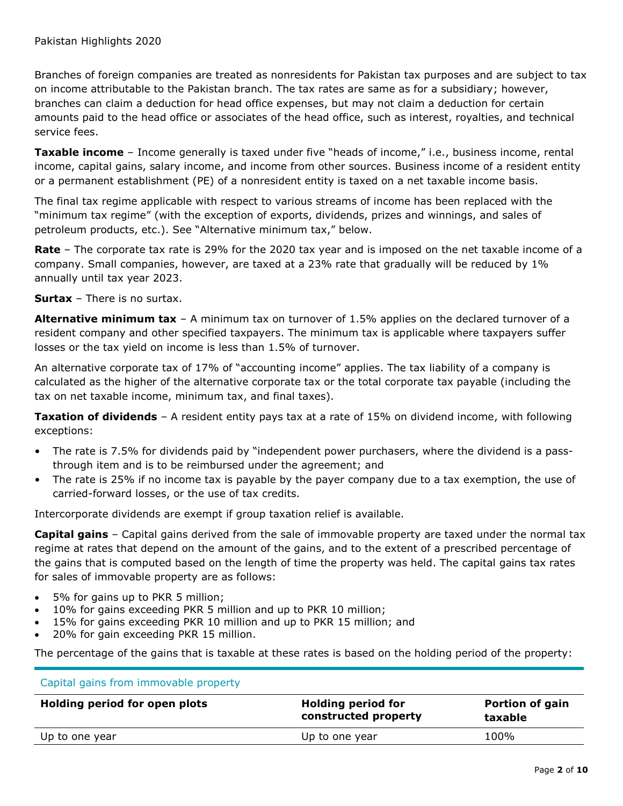Branches of foreign companies are treated as nonresidents for Pakistan tax purposes and are subject to tax on income attributable to the Pakistan branch. The tax rates are same as for a subsidiary; however, branches can claim a deduction for head office expenses, but may not claim a deduction for certain amounts paid to the head office or associates of the head office, such as interest, royalties, and technical service fees.

**Taxable income** – Income generally is taxed under five "heads of income," i.e., business income, rental income, capital gains, salary income, and income from other sources. Business income of a resident entity or a permanent establishment (PE) of a nonresident entity is taxed on a net taxable income basis.

The final tax regime applicable with respect to various streams of income has been replaced with the "minimum tax regime" (with the exception of exports, dividends, prizes and winnings, and sales of petroleum products, etc.). See "Alternative minimum tax," below.

**Rate** – The corporate tax rate is 29% for the 2020 tax year and is imposed on the net taxable income of a company. Small companies, however, are taxed at a 23% rate that gradually will be reduced by 1% annually until tax year 2023.

**Surtax** – There is no surtax.

**Alternative minimum tax** – A minimum tax on turnover of 1.5% applies on the declared turnover of a resident company and other specified taxpayers. The minimum tax is applicable where taxpayers suffer losses or the tax yield on income is less than 1.5% of turnover.

An alternative corporate tax of 17% of "accounting income" applies. The tax liability of a company is calculated as the higher of the alternative corporate tax or the total corporate tax payable (including the tax on net taxable income, minimum tax, and final taxes).

**Taxation of dividends** – A resident entity pays tax at a rate of 15% on dividend income, with following exceptions:

- The rate is 7.5% for dividends paid by "independent power purchasers, where the dividend is a passthrough item and is to be reimbursed under the agreement; and
- The rate is 25% if no income tax is payable by the payer company due to a tax exemption, the use of carried-forward losses, or the use of tax credits.

Intercorporate dividends are exempt if group taxation relief is available.

**Capital gains** – Capital gains derived from the sale of immovable property are taxed under the normal tax regime at rates that depend on the amount of the gains, and to the extent of a prescribed percentage of the gains that is computed based on the length of time the property was held. The capital gains tax rates for sales of immovable property are as follows:

- 5% for gains up to PKR 5 million;
- 10% for gains exceeding PKR 5 million and up to PKR 10 million;
- 15% for gains exceeding PKR 10 million and up to PKR 15 million; and
- 20% for gain exceeding PKR 15 million.

The percentage of the gains that is taxable at these rates is based on the holding period of the property:

| Capital gains from immovable property |                                                   |                                   |  |
|---------------------------------------|---------------------------------------------------|-----------------------------------|--|
| Holding period for open plots         | <b>Holding period for</b><br>constructed property | <b>Portion of gain</b><br>taxable |  |
| Up to one year                        | Up to one year                                    | 100%                              |  |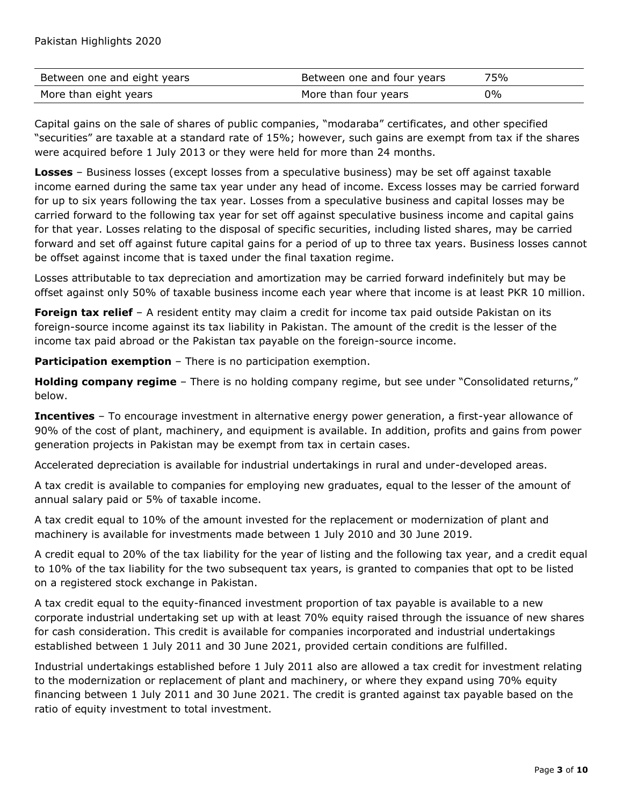| Between one and eight years | Between one and four years | 75% |
|-----------------------------|----------------------------|-----|
| More than eight years       | More than four years       | 0%  |

Capital gains on the sale of shares of public companies, "modaraba" certificates, and other specified "securities" are taxable at a standard rate of 15%; however, such gains are exempt from tax if the shares were acquired before 1 July 2013 or they were held for more than 24 months.

**Losses** – Business losses (except losses from a speculative business) may be set off against taxable income earned during the same tax year under any head of income. Excess losses may be carried forward for up to six years following the tax year. Losses from a speculative business and capital losses may be carried forward to the following tax year for set off against speculative business income and capital gains for that year. Losses relating to the disposal of specific securities, including listed shares, may be carried forward and set off against future capital gains for a period of up to three tax years. Business losses cannot be offset against income that is taxed under the final taxation regime.

Losses attributable to tax depreciation and amortization may be carried forward indefinitely but may be offset against only 50% of taxable business income each year where that income is at least PKR 10 million.

**Foreign tax relief** - A resident entity may claim a credit for income tax paid outside Pakistan on its foreign-source income against its tax liability in Pakistan. The amount of the credit is the lesser of the income tax paid abroad or the Pakistan tax payable on the foreign-source income.

**Participation exemption** – There is no participation exemption.

**Holding company regime** – There is no holding company regime, but see under "Consolidated returns," below.

**Incentives** – To encourage investment in alternative energy power generation, a first-year allowance of 90% of the cost of plant, machinery, and equipment is available. In addition, profits and gains from power generation projects in Pakistan may be exempt from tax in certain cases.

Accelerated depreciation is available for industrial undertakings in rural and under-developed areas.

A tax credit is available to companies for employing new graduates, equal to the lesser of the amount of annual salary paid or 5% of taxable income.

A tax credit equal to 10% of the amount invested for the replacement or modernization of plant and machinery is available for investments made between 1 July 2010 and 30 June 2019.

A credit equal to 20% of the tax liability for the year of listing and the following tax year, and a credit equal to 10% of the tax liability for the two subsequent tax years, is granted to companies that opt to be listed on a registered stock exchange in Pakistan.

A tax credit equal to the equity-financed investment proportion of tax payable is available to a new corporate industrial undertaking set up with at least 70% equity raised through the issuance of new shares for cash consideration. This credit is available for companies incorporated and industrial undertakings established between 1 July 2011 and 30 June 2021, provided certain conditions are fulfilled.

Industrial undertakings established before 1 July 2011 also are allowed a tax credit for investment relating to the modernization or replacement of plant and machinery, or where they expand using 70% equity financing between 1 July 2011 and 30 June 2021. The credit is granted against tax payable based on the ratio of equity investment to total investment.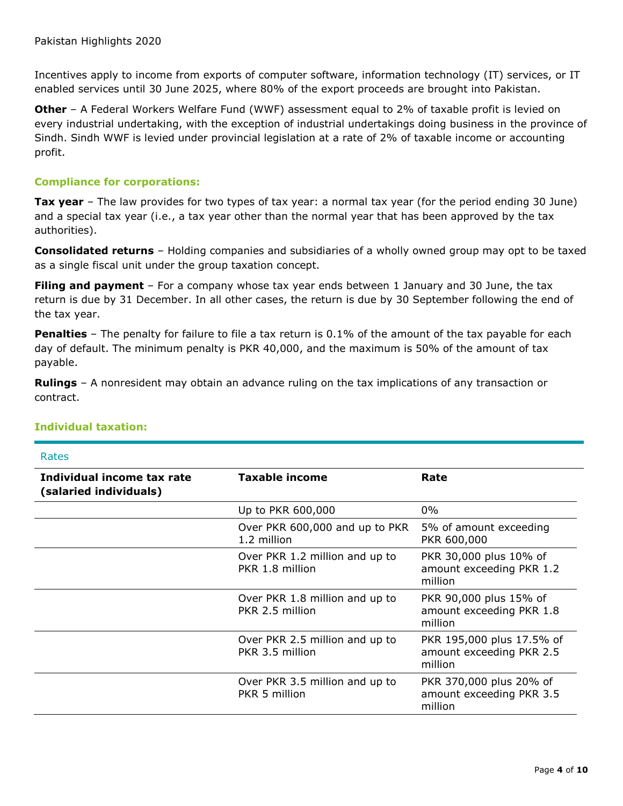Incentives apply to income from exports of computer software, information technology (IT) services, or IT enabled services until 30 June 2025, where 80% of the export proceeds are brought into Pakistan.

**Other** – A Federal Workers Welfare Fund (WWF) assessment equal to 2% of taxable profit is levied on every industrial undertaking, with the exception of industrial undertakings doing business in the province of Sindh. Sindh WWF is levied under provincial legislation at a rate of 2% of taxable income or accounting profit.

#### **Compliance for corporations:**

**Tax year** – The law provides for two types of tax year: a normal tax year (for the period ending 30 June) and a special tax year (i.e., a tax year other than the normal year that has been approved by the tax authorities).

**Consolidated returns** – Holding companies and subsidiaries of a wholly owned group may opt to be taxed as a single fiscal unit under the group taxation concept.

**Filing and payment** – For a company whose tax year ends between 1 January and 30 June, the tax return is due by 31 December. In all other cases, the return is due by 30 September following the end of the tax year.

**Penalties** – The penalty for failure to file a tax return is 0.1% of the amount of the tax payable for each day of default. The minimum penalty is PKR 40,000, and the maximum is 50% of the amount of tax payable.

**Rulings** – A nonresident may obtain an advance ruling on the tax implications of any transaction or contract.

| Rates                                                |                                                   |                                                                  |
|------------------------------------------------------|---------------------------------------------------|------------------------------------------------------------------|
| Individual income tax rate<br>(salaried individuals) | Taxable income                                    | Rate                                                             |
|                                                      | Up to PKR 600,000                                 | $0\%$                                                            |
|                                                      | Over PKR 600,000 and up to PKR<br>1.2 million     | 5% of amount exceeding<br>PKR 600,000                            |
|                                                      | Over PKR 1.2 million and up to<br>PKR 1.8 million | PKR 30,000 plus 10% of<br>amount exceeding PKR 1.2<br>million    |
|                                                      | Over PKR 1.8 million and up to<br>PKR 2.5 million | PKR 90,000 plus 15% of<br>amount exceeding PKR 1.8<br>million    |
|                                                      | Over PKR 2.5 million and up to<br>PKR 3.5 million | PKR 195,000 plus 17.5% of<br>amount exceeding PKR 2.5<br>million |
|                                                      | Over PKR 3.5 million and up to<br>PKR 5 million   | PKR 370,000 plus 20% of<br>amount exceeding PKR 3.5<br>million   |

#### **Individual taxation:**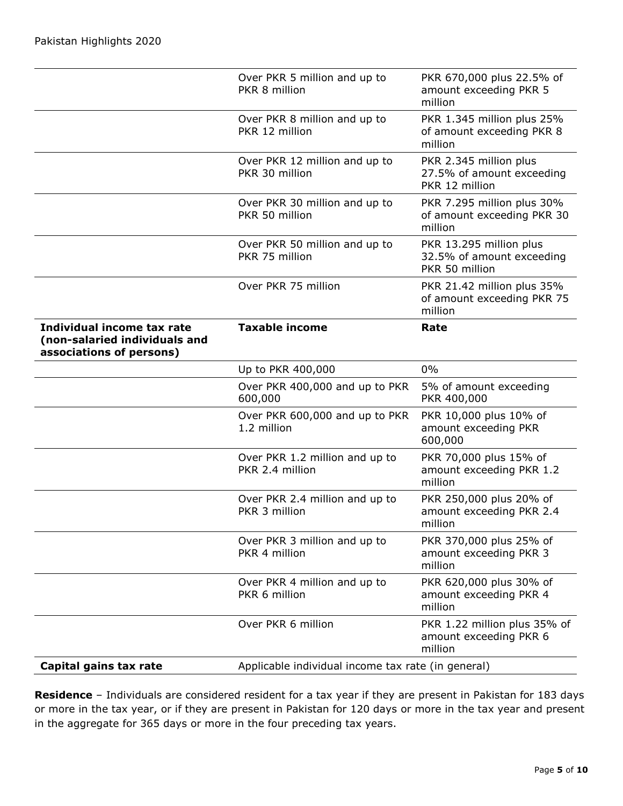|                                                                                         | Over PKR 5 million and up to<br>PKR 8 million     | PKR 670,000 plus 22.5% of<br>amount exceeding PKR 5<br>million         |
|-----------------------------------------------------------------------------------------|---------------------------------------------------|------------------------------------------------------------------------|
|                                                                                         | Over PKR 8 million and up to<br>PKR 12 million    | PKR 1.345 million plus 25%<br>of amount exceeding PKR 8<br>million     |
|                                                                                         | Over PKR 12 million and up to<br>PKR 30 million   | PKR 2.345 million plus<br>27.5% of amount exceeding<br>PKR 12 million  |
|                                                                                         | Over PKR 30 million and up to<br>PKR 50 million   | PKR 7.295 million plus 30%<br>of amount exceeding PKR 30<br>million    |
|                                                                                         | Over PKR 50 million and up to<br>PKR 75 million   | PKR 13.295 million plus<br>32.5% of amount exceeding<br>PKR 50 million |
|                                                                                         | Over PKR 75 million                               | PKR 21.42 million plus 35%<br>of amount exceeding PKR 75<br>million    |
| Individual income tax rate<br>(non-salaried individuals and<br>associations of persons) | <b>Taxable income</b>                             | Rate                                                                   |
|                                                                                         | Up to PKR 400,000                                 | $0\%$                                                                  |
|                                                                                         |                                                   |                                                                        |
|                                                                                         | Over PKR 400,000 and up to PKR<br>600,000         | 5% of amount exceeding<br>PKR 400,000                                  |
|                                                                                         | Over PKR 600,000 and up to PKR<br>1.2 million     | PKR 10,000 plus 10% of<br>amount exceeding PKR<br>600,000              |
|                                                                                         | Over PKR 1.2 million and up to<br>PKR 2.4 million | PKR 70,000 plus 15% of<br>amount exceeding PKR 1.2<br>million          |
|                                                                                         | Over PKR 2.4 million and up to<br>PKR 3 million   | PKR 250,000 plus 20% of<br>amount exceeding PKR 2.4<br>million         |
|                                                                                         | Over PKR 3 million and up to<br>PKR 4 million     | PKR 370,000 plus 25% of<br>amount exceeding PKR 3<br>million           |
|                                                                                         | Over PKR 4 million and up to<br>PKR 6 million     | PKR 620,000 plus 30% of<br>amount exceeding PKR 4<br>million           |
|                                                                                         | Over PKR 6 million                                | PKR 1.22 million plus 35% of<br>amount exceeding PKR 6<br>million      |

**Residence** – Individuals are considered resident for a tax year if they are present in Pakistan for 183 days or more in the tax year, or if they are present in Pakistan for 120 days or more in the tax year and present in the aggregate for 365 days or more in the four preceding tax years.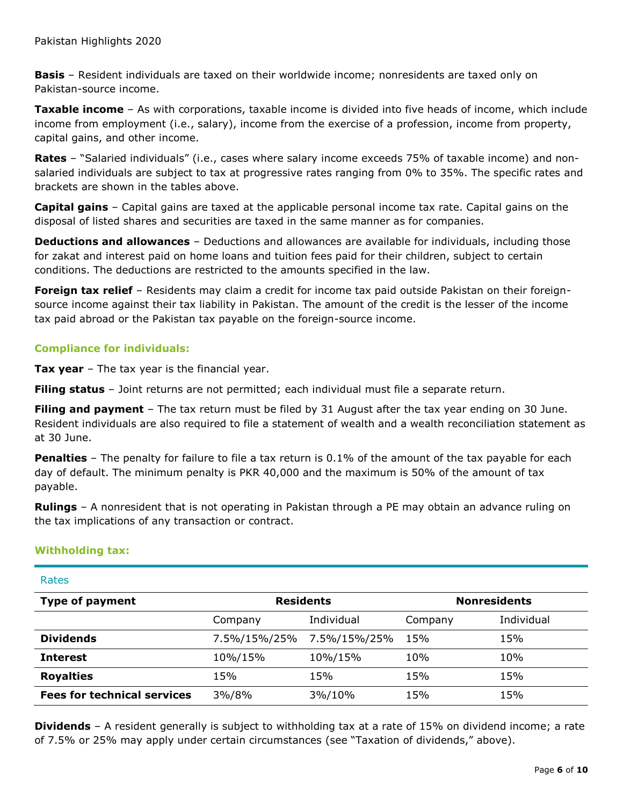**Basis** – Resident individuals are taxed on their worldwide income; nonresidents are taxed only on Pakistan-source income.

**Taxable income** – As with corporations, taxable income is divided into five heads of income, which include income from employment (i.e., salary), income from the exercise of a profession, income from property, capital gains, and other income.

**Rates** – "Salaried individuals" (i.e., cases where salary income exceeds 75% of taxable income) and nonsalaried individuals are subject to tax at progressive rates ranging from 0% to 35%. The specific rates and brackets are shown in the tables above.

**Capital gains** – Capital gains are taxed at the applicable personal income tax rate. Capital gains on the disposal of listed shares and securities are taxed in the same manner as for companies.

**Deductions and allowances** – Deductions and allowances are available for individuals, including those for zakat and interest paid on home loans and tuition fees paid for their children, subject to certain conditions. The deductions are restricted to the amounts specified in the law.

**Foreign tax relief** – Residents may claim a credit for income tax paid outside Pakistan on their foreignsource income against their tax liability in Pakistan. The amount of the credit is the lesser of the income tax paid abroad or the Pakistan tax payable on the foreign-source income.

#### **Compliance for individuals:**

**Tax year** – The tax year is the financial year.

**Filing status** – Joint returns are not permitted; each individual must file a separate return.

**Filing and payment** – The tax return must be filed by 31 August after the tax year ending on 30 June. Resident individuals are also required to file a statement of wealth and a wealth reconciliation statement as at 30 June.

**Penalties** – The penalty for failure to file a tax return is 0.1% of the amount of the tax payable for each day of default. The minimum penalty is PKR 40,000 and the maximum is 50% of the amount of tax payable.

**Rulings** – A nonresident that is not operating in Pakistan through a PE may obtain an advance ruling on the tax implications of any transaction or contract.

#### **Withholding tax:**

| Rates                              |                  |              |         |                     |
|------------------------------------|------------------|--------------|---------|---------------------|
| <b>Type of payment</b>             | <b>Residents</b> |              |         | <b>Nonresidents</b> |
|                                    | Company          | Individual   | Company | Individual          |
| <b>Dividends</b>                   | 7.5%/15%/25%     | 7.5%/15%/25% | 15%     | 15%                 |
| <b>Interest</b>                    | 10%/15%          | 10%/15%      | 10%     | 10%                 |
| <b>Royalties</b>                   | 15%              | 15%          | 15%     | 15%                 |
| <b>Fees for technical services</b> | 3%/8%            | 3%/10%       | 15%     | 15%                 |

**Dividends** – A resident generally is subject to withholding tax at a rate of 15% on dividend income; a rate of 7.5% or 25% may apply under certain circumstances (see "Taxation of dividends," above).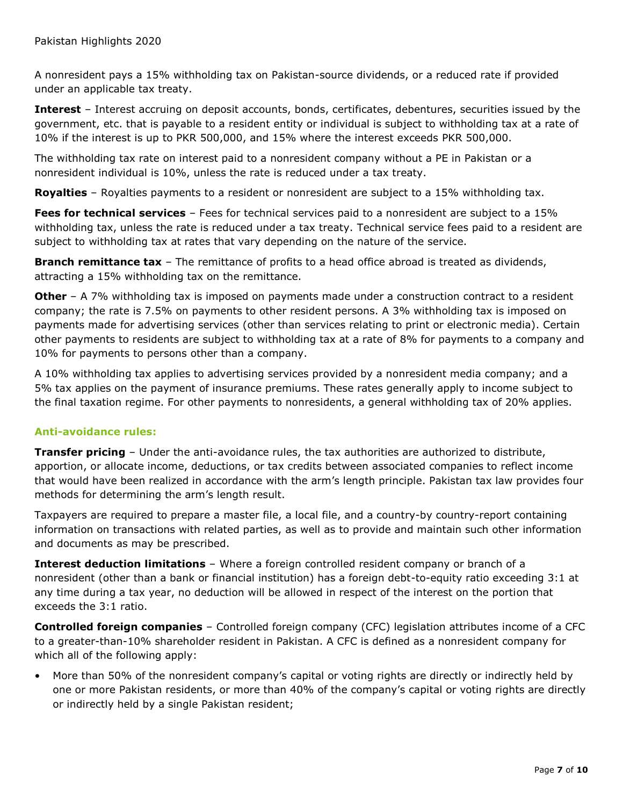A nonresident pays a 15% withholding tax on Pakistan-source dividends, or a reduced rate if provided under an applicable tax treaty.

**Interest** – Interest accruing on deposit accounts, bonds, certificates, debentures, securities issued by the government, etc. that is payable to a resident entity or individual is subject to withholding tax at a rate of 10% if the interest is up to PKR 500,000, and 15% where the interest exceeds PKR 500,000.

The withholding tax rate on interest paid to a nonresident company without a PE in Pakistan or a nonresident individual is 10%, unless the rate is reduced under a tax treaty.

**Royalties** – Royalties payments to a resident or nonresident are subject to a 15% withholding tax.

**Fees for technical services** – Fees for technical services paid to a nonresident are subject to a 15% withholding tax, unless the rate is reduced under a tax treaty. Technical service fees paid to a resident are subject to withholding tax at rates that vary depending on the nature of the service.

**Branch remittance tax** – The remittance of profits to a head office abroad is treated as dividends, attracting a 15% withholding tax on the remittance.

**Other** – A 7% withholding tax is imposed on payments made under a construction contract to a resident company; the rate is 7.5% on payments to other resident persons. A 3% withholding tax is imposed on payments made for advertising services (other than services relating to print or electronic media). Certain other payments to residents are subject to withholding tax at a rate of 8% for payments to a company and 10% for payments to persons other than a company.

A 10% withholding tax applies to advertising services provided by a nonresident media company; and a 5% tax applies on the payment of insurance premiums. These rates generally apply to income subject to the final taxation regime. For other payments to nonresidents, a general withholding tax of 20% applies.

#### **Anti-avoidance rules:**

**Transfer pricing** – Under the anti-avoidance rules, the tax authorities are authorized to distribute, apportion, or allocate income, deductions, or tax credits between associated companies to reflect income that would have been realized in accordance with the arm's length principle. Pakistan tax law provides four methods for determining the arm's length result.

Taxpayers are required to prepare a master file, a local file, and a country-by country-report containing information on transactions with related parties, as well as to provide and maintain such other information and documents as may be prescribed.

**Interest deduction limitations** – Where a foreign controlled resident company or branch of a nonresident (other than a bank or financial institution) has a foreign debt-to-equity ratio exceeding 3:1 at any time during a tax year, no deduction will be allowed in respect of the interest on the portion that exceeds the 3:1 ratio.

**Controlled foreign companies** – Controlled foreign company (CFC) legislation attributes income of a CFC to a greater-than-10% shareholder resident in Pakistan. A CFC is defined as a nonresident company for which all of the following apply:

• More than 50% of the nonresident company's capital or voting rights are directly or indirectly held by one or more Pakistan residents, or more than 40% of the company's capital or voting rights are directly or indirectly held by a single Pakistan resident;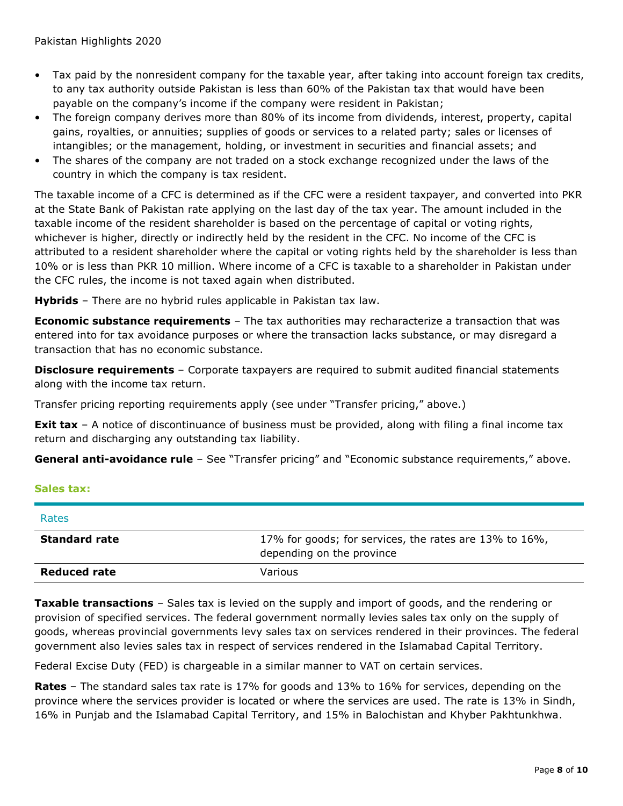- Tax paid by the nonresident company for the taxable year, after taking into account foreign tax credits, to any tax authority outside Pakistan is less than 60% of the Pakistan tax that would have been payable on the company's income if the company were resident in Pakistan;
- The foreign company derives more than 80% of its income from dividends, interest, property, capital gains, royalties, or annuities; supplies of goods or services to a related party; sales or licenses of intangibles; or the management, holding, or investment in securities and financial assets; and
- The shares of the company are not traded on a stock exchange recognized under the laws of the country in which the company is tax resident.

The taxable income of a CFC is determined as if the CFC were a resident taxpayer, and converted into PKR at the State Bank of Pakistan rate applying on the last day of the tax year. The amount included in the taxable income of the resident shareholder is based on the percentage of capital or voting rights, whichever is higher, directly or indirectly held by the resident in the CFC. No income of the CFC is attributed to a resident shareholder where the capital or voting rights held by the shareholder is less than 10% or is less than PKR 10 million. Where income of a CFC is taxable to a shareholder in Pakistan under the CFC rules, the income is not taxed again when distributed.

**Hybrids** – There are no hybrid rules applicable in Pakistan tax law.

**Economic substance requirements** – The tax authorities may recharacterize a transaction that was entered into for tax avoidance purposes or where the transaction lacks substance, or may disregard a transaction that has no economic substance.

**Disclosure requirements** – Corporate taxpayers are required to submit audited financial statements along with the income tax return.

Transfer pricing reporting requirements apply (see under "Transfer pricing," above.)

**Exit tax** – A notice of discontinuance of business must be provided, along with filing a final income tax return and discharging any outstanding tax liability.

**General anti-avoidance rule** - See "Transfer pricing" and "Economic substance requirements," above.

#### **Sales tax:**

| Rates                |                                                                                     |
|----------------------|-------------------------------------------------------------------------------------|
| <b>Standard rate</b> | 17% for goods; for services, the rates are 13% to 16%,<br>depending on the province |
| Reduced rate         | Various                                                                             |

**Taxable transactions** – Sales tax is levied on the supply and import of goods, and the rendering or provision of specified services. The federal government normally levies sales tax only on the supply of goods, whereas provincial governments levy sales tax on services rendered in their provinces. The federal government also levies sales tax in respect of services rendered in the Islamabad Capital Territory.

Federal Excise Duty (FED) is chargeable in a similar manner to VAT on certain services.

**Rates** – The standard sales tax rate is 17% for goods and 13% to 16% for services, depending on the province where the services provider is located or where the services are used. The rate is 13% in Sindh, 16% in Punjab and the Islamabad Capital Territory, and 15% in Balochistan and Khyber Pakhtunkhwa.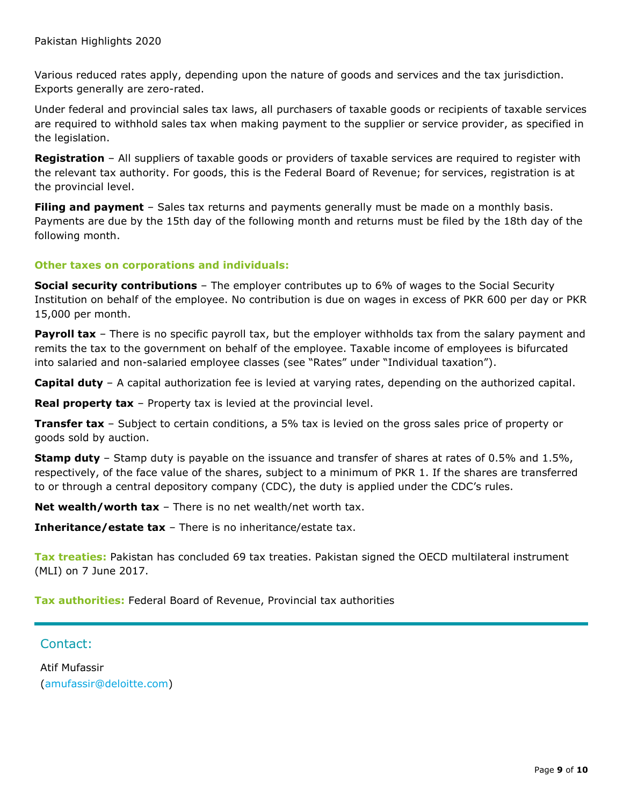Various reduced rates apply, depending upon the nature of goods and services and the tax jurisdiction. Exports generally are zero-rated.

Under federal and provincial sales tax laws, all purchasers of taxable goods or recipients of taxable services are required to withhold sales tax when making payment to the supplier or service provider, as specified in the legislation.

**Registration** – All suppliers of taxable goods or providers of taxable services are required to register with the relevant tax authority. For goods, this is the Federal Board of Revenue; for services, registration is at the provincial level.

**Filing and payment** – Sales tax returns and payments generally must be made on a monthly basis. Payments are due by the 15th day of the following month and returns must be filed by the 18th day of the following month.

#### **Other taxes on corporations and individuals:**

**Social security contributions** – The employer contributes up to 6% of wages to the Social Security Institution on behalf of the employee. No contribution is due on wages in excess of PKR 600 per day or PKR 15,000 per month.

**Payroll tax** – There is no specific payroll tax, but the employer withholds tax from the salary payment and remits the tax to the government on behalf of the employee. Taxable income of employees is bifurcated into salaried and non-salaried employee classes (see "Rates" under "Individual taxation").

**Capital duty** – A capital authorization fee is levied at varying rates, depending on the authorized capital.

**Real property tax** – Property tax is levied at the provincial level.

**Transfer tax** – Subject to certain conditions, a 5% tax is levied on the gross sales price of property or goods sold by auction.

**Stamp duty** – Stamp duty is payable on the issuance and transfer of shares at rates of 0.5% and 1.5%, respectively, of the face value of the shares, subject to a minimum of PKR 1. If the shares are transferred to or through a central depository company (CDC), the duty is applied under the CDC's rules.

**Net wealth/worth tax** – There is no net wealth/net worth tax.

**Inheritance/estate tax** – There is no inheritance/estate tax.

**Tax treaties:** Pakistan has concluded 69 tax treaties. Pakistan signed the OECD multilateral instrument (MLI) on 7 June 2017.

**Tax authorities:** Federal Board of Revenue, Provincial tax authorities

### Contact:

Atif Mufassir [\(amufassir@deloitte.com\)](mailto:amufassir@deloitte.com)